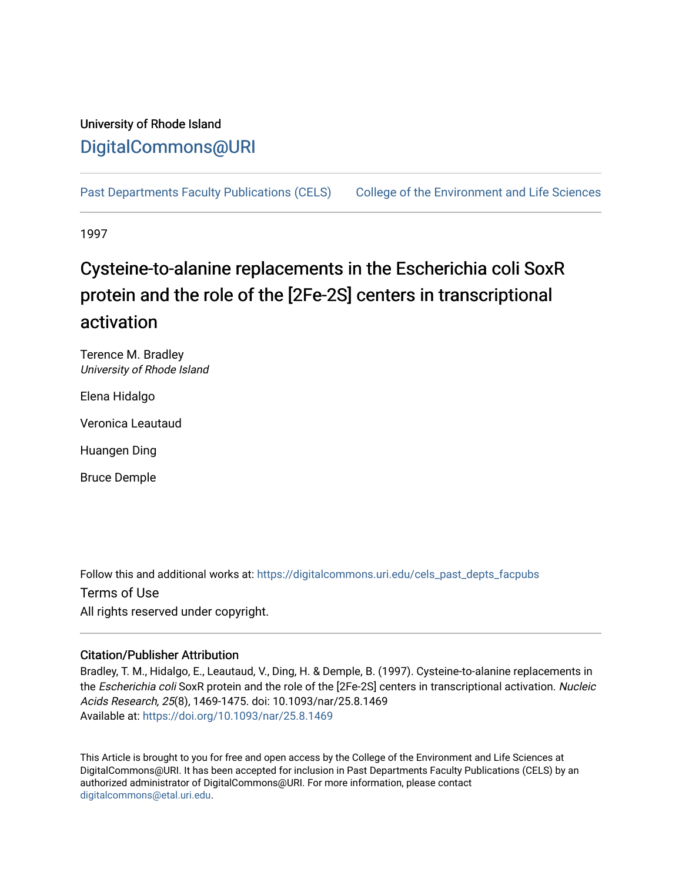### University of Rhode Island [DigitalCommons@URI](https://digitalcommons.uri.edu/)

[Past Departments Faculty Publications \(CELS\)](https://digitalcommons.uri.edu/cels_past_depts_facpubs) College of the Environment and Life Sciences

1997

# Cysteine-to-alanine replacements in the Escherichia coli SoxR protein and the role of the [2Fe-2S] centers in transcriptional activation

Terence M. Bradley University of Rhode Island

Elena Hidalgo

Veronica Leautaud

Huangen Ding

Bruce Demple

Follow this and additional works at: [https://digitalcommons.uri.edu/cels\\_past\\_depts\\_facpubs](https://digitalcommons.uri.edu/cels_past_depts_facpubs?utm_source=digitalcommons.uri.edu%2Fcels_past_depts_facpubs%2F13&utm_medium=PDF&utm_campaign=PDFCoverPages) 

Terms of Use All rights reserved under copyright.

### Citation/Publisher Attribution

Bradley, T. M., Hidalgo, E., Leautaud, V., Ding, H. & Demple, B. (1997). Cysteine-to-alanine replacements in the Escherichia coli SoxR protein and the role of the [2Fe-2S] centers in transcriptional activation. Nucleic Acids Research, 25(8), 1469-1475. doi: 10.1093/nar/25.8.1469 Available at:<https://doi.org/10.1093/nar/25.8.1469>

This Article is brought to you for free and open access by the College of the Environment and Life Sciences at DigitalCommons@URI. It has been accepted for inclusion in Past Departments Faculty Publications (CELS) by an authorized administrator of DigitalCommons@URI. For more information, please contact [digitalcommons@etal.uri.edu](mailto:digitalcommons@etal.uri.edu).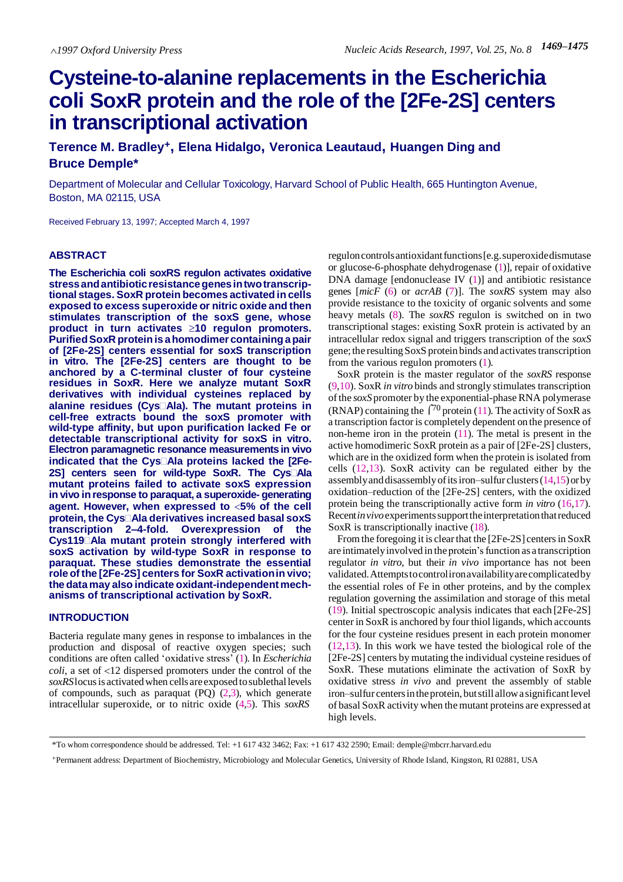## **Cysteine-to-alanine replacements in the Escherichia coli SoxR protein and the role of the [2Fe-2S] centers in transcriptional activation**

**Terence M. Bradley<sup>+</sup>, Elena Hidalgo, Veronica Leautaud, Huangen Ding and Bruce Demple\***

Department of Molecular and Cellular Toxicology, Harvard School of Public Health, 665 Huntington Avenue, Boston, MA 02115, USA

Received February 13, 1997; Accepted March 4, 1997

#### **ABSTRACT**

**The Escherichia coli soxRS regulon activates oxidative stressandantibioticresistancegenesintwotranscriptionalstages. SoxR protein becomesactivated in cells exposed to excesssuperoxide or nitric oxideand then stimulates transcription of the soxS gene, whose product in turn activates 10 regulon promoters. PurifiedSoxR proteinisahomodimercontainingapair of [2Fe-2S] centers essential for soxS transcription in vitro. The [2Fe-2S] centers are thought to be anchored by a C-terminal cluster of four cysteine residues in SoxR. Here we analyze mutant SoxR derivatives with individual cysteines replaced by alanine residues (CysAla). The mutant proteins in cell-free extracts bound the soxS promoter with wild-type affinity, but upon purification lacked Fe or detectable transcriptional activity for soxS in vitro. Electron paramagnetic resonance measurementsin vivo indicated that the CysAla proteins lacked the [2Fe-2S] centers seen for wild-type SoxR. The CysAla mutant proteins failed to activate soxS expression in vivo inresponseto paraquat,asuperoxide- generating agent. However, when expressed to 5% of the cell protein, the CysAla derivatives increased basalsoxS transcription 2–4-fold. Overexpression of the Cys119Ala mutant protein strongly interfered with soxS activation by wild-type SoxR in response to paraquat. These studies demonstrate the essential role of the[2Fe-2S]centersfor SoxR activationin vivo; the datamayalso indicate oxidant-independentmechanisms of transcriptional activation by SoxR.**

#### **INTRODUCTION**

Bacteria regulate many genes in response to imbalances in the production and disposal of reactive oxygen species; such conditions are often called 'oxidative stress' (1). In *Escherichia coli*, a set of <12 dispersed promoters under the control of the *soxRS*locusis activatedwhen cells areexposed tosublethallevels of compounds, such as paraquat  $(PQ)$   $(2,3)$ , which generate intracellular superoxide, or to nitric oxide (4,5). This *soxRS*

reguloncontrolsantioxidantfunctions[e.g.superoxidedismutase or glucose-6-phosphate dehydrogenase (1)], repair of oxidative DNA damage [endonuclease IV (1)] and antibiotic resistance genes [*micF* (6) or *acrAB* (7)]. The *soxRS* system may also provide resistance to the toxicity of organic solvents and some heavy metals (8). The *soxRS* regulon is switched on in two transcriptional stages: existing SoxR protein is activated by an intracellular redox signal and triggers transcription of the *soxS*  gene; the resulting SoxS protein binds and activates transcription from the various regulon promoters (1).

SoxR protein is the master regulator of the *soxRS* response (9,10).SoxR *in vitro* binds and strongly stimulates transcription of the *soxS* promoter by the exponential-phase RNA polymerase (RNAP) containing the  $\int_0^{\pi}$  protein (11). The activity of SoxR as a transcription factor is completely dependent on the presence of non-heme iron in the protein  $(11)$ . The metal is present in the active homodimeric SoxR protein as a pair of [2Fe-2S] clusters, which are in the oxidized form when the protein is isolated from cells (12,13). SoxR activity can be regulated either by the assembly and disassembly of its iron–sulfur clusters  $(14,15)$  or by oxidation–reduction of the [2Fe-2S] centers, with the oxidized protein being the transcriptionally active form *in vitro* (16,17). Recent*invivo*experimentssupporttheinterpretationthatreduced SoxR is transcriptionally inactive  $(18)$ .

From the foregoing it is clear that the [2Fe-2S] centers in SoxR are intimatelyinvolved in theprotein'sfunction as a transcription regulator *in vitro*, but their *in vivo* importance has not been validated.Attemptstocontrolironavailabilityarecomplicatedby the essential roles of Fe in other proteins, and by the complex regulation governing the assimilation and storage of this metal (19). Initial spectroscopic analysis indicates that each [2Fe-2S] center in SoxR is anchored by four thiol ligands, which accounts for the four cysteine residues present in each protein monomer (12,13). In this work we have tested the biological role of the [2Fe-2S] centers by mutating the individual cysteine residues of SoxR. These mutations eliminate the activation of SoxR by oxidative stress *in vivo* and prevent the assembly of stable iron–sulfur centersin theprotein, butstill allowasignificantlevel of basal SoxR activity when the mutant proteins are expressed at high levels.

<sup>\*</sup>To whom correspondence should be addressed. Tel: +1 617 432 3462; Fax: +1 617 432 2590; Email: [demple@mbcrr.harvard.edu](mailto:demple@mbcrr.harvard.edu)

<sup>+</sup>Permanent address: Department of Biochemistry, Microbiology and Molecular Genetics, University of Rhode Island, Kingston, RI 02881, USA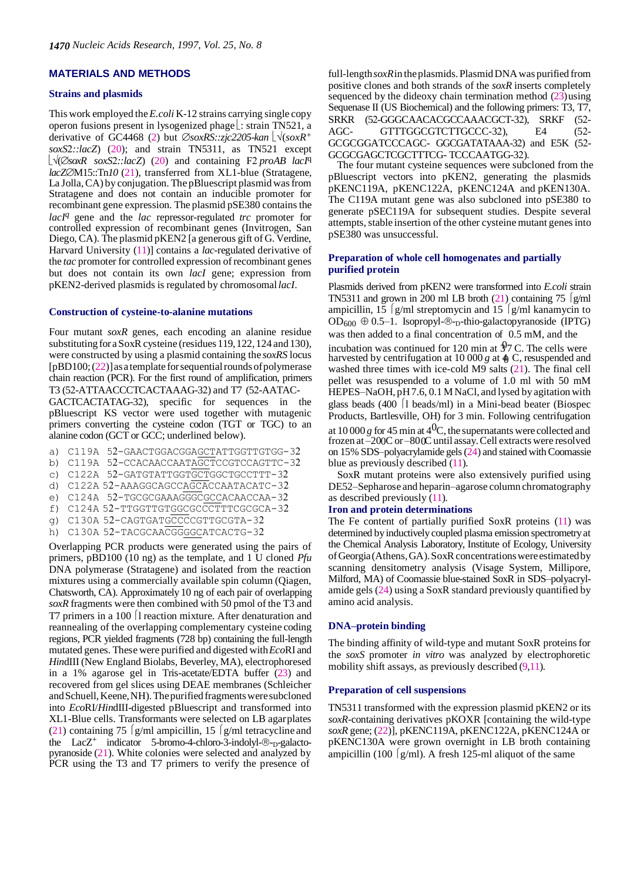#### **MATERIALS AND METHODS**

#### **Strains and plasmids**

This work employed the*E.coli* K-12 strains carrying single copy operon fusions present in lysogenized phage  $\lfloor$ : strain TN521, a derivative of GC4468 (2) but  $\oslash$ *soxRS::zjc2205-kan*  $\big[ \sqrt{(soxR^+)} \]$ *soxS::lacZ*) (20); and strain TN5311, as TN521 except  $\lfloor \sqrt{(\emptyset)} \text{SoxR} \text{ } \text{SoxS2}$ ::lacZ) (20) and containing F2 proAB lacI<sup>q</sup> *lacZ*M15::Tn*10* (21), transferred from XL1-blue (Stratagene, La Jolla, CA) by conjugation. The pBluescript plasmid was from Stratagene and does not contain an inducible promoter for recombinant gene expression. The plasmid pSE380 contains the *lacIq* gene and the *lac* repressor-regulated *trc* promoter for controlled expression of recombinant genes (Invitrogen, San Diego, CA). The plasmid pKEN2 [a generous gift of G. Verdine, Harvard University (11)] contains a *lac*-regulated derivative of the *tac* promoter for controlled expression of recombinant genes but does not contain its own *lacI* gene; expression from pKEN2-derived plasmids is regulated by chromosomal*lacI*.

#### **Construction of cysteine-to-alanine mutations**

Four mutant *soxR* genes, each encoding an alanine residue substituting for a SoxR cysteine (residues 119, 122, 124 and 130), were constructed by using a plasmid containing the *soxRS* locus  $[pBD100; (22)]$  as a template for sequential rounds of polymerase chain reaction (PCR). For the first round of amplification, primers T3 (52-ATTAACCCTCACTAAAG-32) and T7 (52-AATAC-

GACTCACTATAG-3), specific for sequences in the pBluescript KS vector were used together with mutagenic primers converting the cysteine codon (TGT or TGC) to an alanine codon (GCT or GCC; underlined below).

- a) C119A 52-GAACTGGACGGAGCTATTGGTTGTGG-32
- b) C119A 52-CCACAACCAATAGCTCCGTCCAGTTC-32
- c) C122A 52-GATGTATTGGTGCTGCCTGCCTTT-32
- d) C122A 52-AAAGGCAGCCAGCACCAATACATC-32
- e) C124A 52-TGCGCGAAAGGGCGCCACAACCAA-32
- f) C124A 52-TTGGTTGTGGCGCCCTTTCGCGCA-32
- g) C130A 52-CAGTGATGCCCCGTTGCGTA-32
- h) C130A 52-TACGCAACGGGGCATCACTG-32

Overlapping PCR products were generated using the pairs of primers, pBD100 (10 ng) as the template, and 1 U cloned *Pfu*  DNA polymerase (Stratagene) and isolated from the reaction mixtures using a commercially available spin column (Qiagen, Chatsworth, CA). Approximately 10 ng of each pair of overlapping *soxR* fragments were then combined with 50 pmol of the T3 and T7 primers in a 100 [1 reaction mixture. After denaturation and reannealing of the overlapping complementary cysteine coding regions, PCR yielded fragments (728 bp) containing the full-length mutated genes. These were purified and digested with*Eco*RI and *Hin*dIII (New England Biolabs, Beverley, MA), electrophoresed in a 1% agarose gel in Tris-acetate/EDTA buffer (23) and recovered from gel slices using DEAE membranes (Schleicher and Schuell, Keene, NH). The purified fragments were subcloned into *Eco*RI/*Hin*dIII-digested pBluescript and transformed into XL1-Blue cells. Transformants were selected on LB agarplates (21) containing 75 [g/ml ampicillin, 15  $\frac{g}{m}$  tetracycline and the  $LacZ^+$  indicator 5-bromo-4-chloro-3-indolyl- $\mathcal{D}_-$ -galactopyranoside (21). White colonies were selected and analyzed by PCR using the T3 and T7 primers to verify the presence of

full-length  $s\alpha xR$  in the plasmids. Plasmid DNA was purified from positive clones and both strands of the *soxR* inserts completely sequenced by the dideoxy chain termination method  $(23)$ using Sequenase II (US Biochemical) and the following primers: T3, T7, SRKR (52-GGGCAACACGCCAAACGCT-32), SRKF (52-AGC- GTTTGGCGTCTTGCCC-32), E4 (52-GCGCGGATCCCAGC- GGCGATATAAA-32) and E5K (52-GCGCGAGCTCGCTTTCG- TCCCAATGG-3).

The four mutant cysteine sequences were subcloned from the pBluescript vectors into pKEN2, generating the plasmids pKENC119A, pKENC122A, pKENC124A and pKEN130A. The C119A mutant gene was also subcloned into pSE380 to generate pSEC119A for subsequent studies. Despite several attempts, stable insertion of the other cysteine mutant genes into pSE380 was unsuccessful.

#### **Preparation of whole cell homogenates and partially purified protein**

Plasmids derived from pKEN2 were transformed into *E.coli* strain TN5311 and grown in 200 ml LB broth  $(21)$  containing 75 [g/ml] ampicillin, 15  $g/ml$  streptomycin and 15  $g/ml$  kanamycin to OD<sub>600</sub>  $\oplus$  0.5–1. Isopropyl- $\otimes$ -<sub>D</sub>-thio-galactopyranoside (IPTG) was then added to a final concentration of 0.5 mM, and the

incubation was continued for 120 min at  $\sqrt[4]{7}$  C. The cells were harvested by centrifugation at 10 000 *g* at  $\phi$  C, resuspended and washed three times with ice-cold M9 salts (21). The final cell pellet was resuspended to a volume of 1.0 ml with 50 mM HEPES–NaOH, pH7.6, 0.1 M NaCl, and lysed by agitation with glass beads  $(400 \mid l \text{ beads/ml})$  in a Mini-bead beater (Biospec Products, Bartlesville, OH ) for 3 min. Following centrifugation

at 10 000 *g* for 45 min at  $4^{0}$ C, the supernatants were collected and frozen at -200C or -800C until assay. Cell extracts were resolved on 15% SDS–polyacrylamide gels(24) and stained withCoomassie blue as previously described  $(11)$ .

SoxR mutant proteins were also extensively purified using DE52–Sepharose and heparin–agarose column chromatography as described previously (11).

#### **Iron and protein determinations**

The Fe content of partially purified SoxR proteins (11) was determined by inductively coupled plasma emission spectrometry at the Chemical Analysis Laboratory, Institute of Ecology, University of Georgia (Athens, GA). SoxR concentrations were estimated by scanning densitometry analysis (Visage System, Millipore, Milford, MA) of Coomassie blue-stained SoxR in SDS–polyacrylamide gels (24) using a SoxR standard previously quantified by amino acid analysis.

#### **DNA–protein binding**

The binding affinity of wild-type and mutant SoxR proteins for the *soxS* promoter *in vitro* was analyzed by electrophoretic mobility shift assays, as previously described  $(9,11)$ .

#### **Preparation of cell suspensions**

TN5311 transformed with the expression plasmid pKEN2 or its *soxR*-containing derivatives pKOXR [containing the wild-type *soxR* gene; (22)], pKENC119A, pKENC122A, pKENC124A or pKENC130A were grown overnight in LB broth containing ampicillin (100  $g/ml$ ). A fresh 125-ml aliquot of the same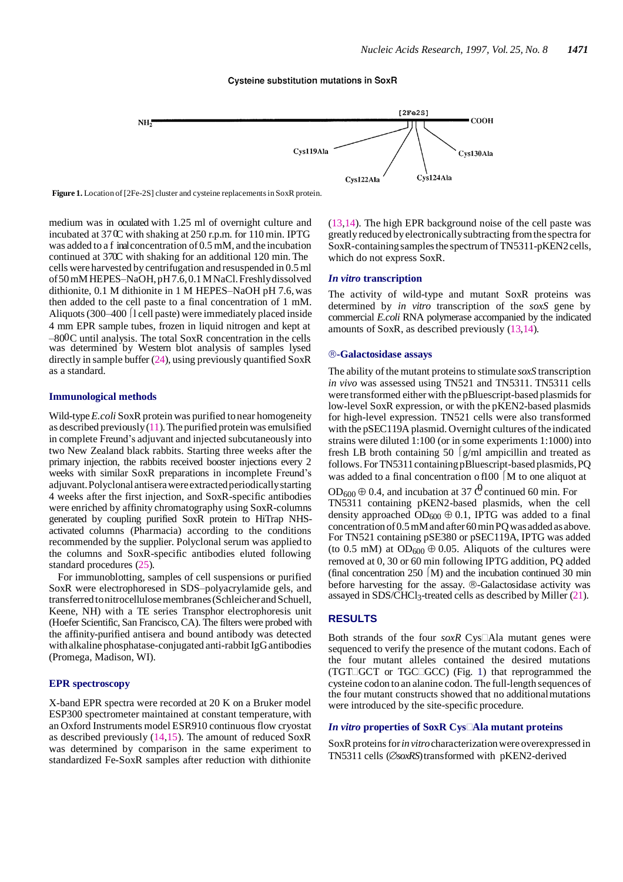#### **Cysteine substitution mutations in SoxR**



**Figure 1.** Location of [2Fe-2S] cluster and cysteine replacementsin SoxR protein.

medium was in oculated with 1.25 ml of overnight culture and incubated at 37 C with shaking at 250 r.p.m. for 110 min. IPTG was added to a f inal concentration of 0.5 mM, and the incubation continued at 370C with shaking for an additional 120 min. The cells were harvested by centrifugation and resuspended in 0.5ml of50mMHEPES–NaOH,pH7.6,0.1MNaCl.Freshlydissolved dithionite, 0.1 M dithionite in 1 M HEPES–NaOH pH 7.6,was then added to the cell paste to a final concentration of 1 mM. Aliquots (300–400  $\int$ l cell paste) were immediately placed inside 4 m m EPR sample tubes, frozen in liquid nitrogen and kept at  $-800C$  until analysis. The total SoxR concentration in the cells was determined by Western blot analysis of samples lysed directly in sample buffer  $(24)$ , using previously quantified SoxR as a standard.

#### **Immunological methods**

Wild-type *E.coli* SoxR protein was purified to near homogeneity as described previously  $(11)$ . The purified protein was emulsified in complete Freund's adjuvant and injected subcutaneously into two New Zealand black rabbits. Starting three weeks after the primary injection, the rabbits received booster injections every 2 weeks with similar SoxR preparations in incomplete Freund's adjuvant.Polyclonalantiserawereextractedperiodicallystarting 4 weeks after the first injection, and SoxR-specific antibodies were enriched by affinity chromatography using SoxR-columns generated by coupling purified SoxR protein to HiTrap NHSactivated columns (Pharmacia) according to the conditions recommended by the supplier. Polyclonal serum was applied to the columns and SoxR-specific antibodies eluted following standard procedures (25).

For immunoblotting, samples of cell suspensions or purified SoxR were electrophoresed in SDS–polyacrylamide gels, and transferred to nitrocellulose membranes (Schleicher and Schuell, Keene, NH) with a TE series Transphor electrophoresis unit (Hoefer Scientific, San Francisco, CA). The filters were probed with the affinity-purified antisera and bound antibody was detected with alkaline phosphatase-conjugated anti-rabbit IgG antibodies (Promega, Madison, WI).

#### **EPR spectroscopy**

X-band EPR spectra were recorded at 20 K on a Bruker model ESP300 spectrometer maintained at constant temperature, with an Oxford Instruments model ESR910 continuous flow cryostat as described previously (14,15). The amount of reduced SoxR was determined by comparison in the same experiment to standardized Fe-SoxR samples after reduction with dithionite

(13,14). The high EPR background noise of the cell paste was greatly reduced byelectronicallysubtracting fromthe spectra for SoxR-containing samples the spectrum of TN5311-pKEN2 cells, which do not express SoxR.

#### *In vitro* **transcription**

The activity of wild-type and mutant SoxR proteins was determined by *in vitro* transcription of the *soxS* gene by commercial *E.coli* RNA polymerase accompanied by the indicated amounts of SoxR, as described previously (13,14).

#### **-Galactosidase assays**

The ability of the mutant proteins to stimulate *soxS* transcription *in vivo* was assessed using TN521 and TN5311. TN5311 cells were transformed either with the pBluescript-based plasmids for low-level SoxR expression, or with the pKEN2-based plasmids for high-level expression. TN521 cells were also transformed with the pSEC119A plasmid. Overnight cultures of the indicated strains were diluted 1:100 (or in some experiments 1:1000) into fresh LB broth containing 50  $|g/m$ l ampicillin and treated as follows. For TN5311 containing pBluescript-based plasmids, PQ was added to a final concentration of  $100 \mid M$  to one aliquot at

 $OD_{600} \oplus 0.4$ , and incubation at 37  $\Theta$  continued 60 min. For TN5311 containing pKEN2-based plasmids, when the cell density approached  $OD_{600} \oplus 0.1$ , IPTG was added to a final concentration of 0.5 mM and after 60 min PQ was added as above. For TN521 containing pSE380 or pSEC119A, IPTG was added (to 0.5 mM) at  $OD_{600} \oplus 0.05$ . Aliquots of the cultures were removed at 0, 30 or 60 min following IPTG addition, PQ added (final concentration  $250 \text{ } (M)$  and the incubation continued 30 min before harvesting for the assay. ®-Galactosidase activity was assayed in SDS/CHCl<sub>3</sub>-treated cells as described by Miller (21).

#### **RESULTS**

Both strands of the four *soxR* Cys<sup>[[A]</sup>Ala mutant genes were sequenced to verify the presence of the mutant codons. Each of the four mutant alleles contained the desired mutations (TGT $\Box$ GCT or TGC $\Box$ GCC) (Fig. 1) that reprogrammed the cysteine codon toan alanine codon. The full-length sequences of the four mutant constructs showed that no additionalmutations were introduced by the site-specific procedure.

#### *In vitro* properties of SoxR Cys□Ala mutant proteins

SoxR proteins for *in vitro* characterization were overexpressed in TN5311 cells (*soxRS*) transformed with pKEN2-derived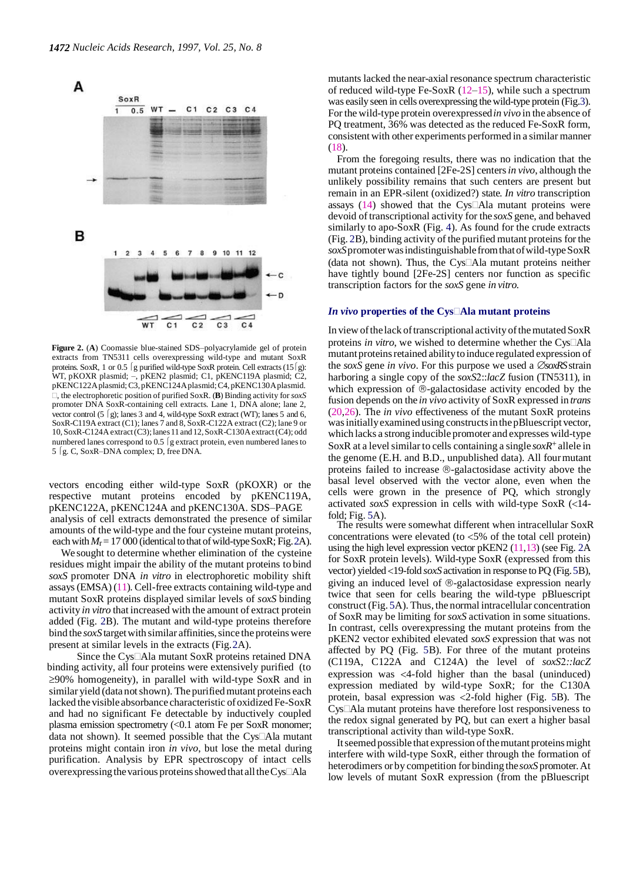

**Figure 2.** (**A**) Coomassie blue-stained SDS–polyacrylamide gel of protein extracts from TN5311 cells overexpressing wild-type and mutant SoxR proteins. SoxR, 1 or 0.5  $\int$ g purified wild-type SoxR protein. Cell extracts (15 $\int$ g): WT, pKOXR plasmid; –, pKEN2 plasmid; C1, pKENC119A plasmid; C2, pKENC122Aplasmid;C3, pKENC124Aplasmid;C4, pKENC130Aplasmid. , the electrophoretic position of purified SoxR. (**B**) Binding activity for *soxS*  promoter DNA SoxR-containing cell extracts. Lane 1, DNA alone; lane 2, vector control (5  $\lceil g \rceil$ ; lanes 3 and 4, wild-type SoxR extract (WT); lanes 5 and 6, SoxR-C119A extract (C1); lanes 7 and 8, SoxR-C122A extract (C2); lane 9 or 10,SoxR-C124Aextract(C3);lanes11and 12,SoxR-C130Aextract(C4); odd numbered lanes correspond to  $0.5 \mid g$  extract protein, even numbered lanes to 5 [g. C, SoxR-DNA complex; D, free DNA.

vectors encoding either wild-type SoxR (pKOXR) or the respective mutant proteins encoded by pKENC119A, pKENC122A, pKENC124A and pKENC130A. SDS–PAGE analysis of cell extracts demonstrated the presence of similar amounts of the wild-type and the four cysteine mutant proteins, each with  $M_r$  = 17 000 (identical to that of wild-type SoxR; Fig. 2A).

We sought to determine whether elimination of the cysteine residues might impair the ability of the mutant proteins to bind *soxS* promoter DNA *in vitro* in electrophoretic mobility shift assays(EMSA) (11). Cell-free extracts containing wild-type and mutant SoxR proteins displayed similar levels of *soxS* binding activity *in vitro* thatincreased with the amount of extract protein added (Fig. 2B). The mutant and wild-type proteins therefore bind the *soxS* target with similar affinities, since the proteins were present at similar levels in the extracts (Fig.2A).

Since the  $Cys\Box Ala$  mutant SoxR proteins retained DNA binding activity, all four proteins were extensively purified (to  $\geq$ 90% homogeneity), in parallel with wild-type SoxR and in similar yield (data not shown). The purified mutant proteins each lacked the visible absorbance characteristic of oxidized Fe-SoxR and had no significant Fe detectable by inductively coupled plasma emission spectrometry (<0.1 atom Fe per SoxR monomer; data not shown). It seemed possible that the Cys<sup>[[A]</sup>a mutant proteins might contain iron *in vivo*, but lose the metal during purification. Analysis by EPR spectroscopy of intact cells overexpressing the various proteins showed that all the Cys $\Box$ Ala

mutants lacked the near-axial resonance spectrum characteristic of reduced wild-type Fe-SoxR (12–15), while such a spectrum was easily seen in cells overexpressing the wild-type protein (Fig.3). For the wild-type protein overexpressed*in vivo* in the absence of PQ treatment, 36% was detected as the reduced Fe-SoxR form, consistent with other experiments performed in a similar manner (18).

From the foregoing results, there was no indication that the mutant proteins contained [2Fe-2S] centers*in vivo*, although the unlikely possibility remains that such centers are present but remain in an EPR-silent (oxidized?) state*. In vitro* transcription assays  $(14)$  showed that the Cys $\Box$ Ala mutant proteins were devoid of transcriptional activity for the *soxS* gene, and behaved similarly to apo-SoxR (Fig. 4). As found for the crude extracts (Fig. 2B), binding activity of the purified mutant proteins forthe *soxS*promoterwasindistinguishable fromthatofwild-typeSoxR (data not shown). Thus, the Cys $\Box$ Ala mutant proteins neither have tightly bound [2Fe-2S] centers nor function as specific transcription factors for the *soxS* gene *in vitro.*

#### *In vivo* **properties of the CysAla mutant proteins**

In view of the lack of transcriptional activity of the mutated SoxR proteins *in vitro*, we wished to determine whether the Cys<sup>[[A]</sup>a mutant proteins retained ability to induce regulated expression of the *soxS* gene *in vivo*. For this purpose we used a  $\oslash$  *SsoxRS* strain harboring a single copy of the *soxS2::lacZ* fusion (TN5311), in which expression of  $\mathcal{D}$ -galactosidase activity encoded by the fusion depends on the *in vivo* activity of SoxR expressed in *trans* (20,26). The *in vivo* effectiveness of the mutant SoxR proteins was initially examined using constructs in the pBluescript vector, which lacks a strong inducible promoter and expresses wild-type SoxR at a level similar to cells containing a single *soxR*<sup>+</sup> allele in the genome (E.H. and B.D., unpublished data). All fourmutant proteins failed to increase  $\mathcal{R}$ -galactosidase activity above the basal level observed with the vector alone, even when the cells were grown in the presence of PQ, which strongly activated *soxS* expression in cells with wild-type SoxR (<14 $fold:$  Fig.  $5A$ ).

The results were somewhat different when intracellular SoxR concentrations were elevated (to  $<5\%$  of the total cell protein) using the high level expression vector  $p$ KEN2 (11,13) (see Fig. 2A for SoxR protein levels). Wild-type SoxR (expressed from this vector) yielded <19-fold *soxS* activation in response to PQ (Fig. 5B), giving an induced level of  $\mathcal{R}$ -galactosidase expression nearly twice that seen for cells bearing the wild-type pBluescript construct (Fig. 5A). Thus, the normal intracellular concentration of SoxR may be limiting for*soxS* activation in some situations. In contrast, cells overexpressing the mutant proteins from the pKEN2 vector exhibited elevated *soxS* expression that was not affected by PQ (Fig. 5B). For three of the mutant proteins (C119A, C122A and C124A) the level of *soxS::lacZ* expression was  $\leq$ 4-fold higher than the basal (uninduced) expression mediated by wild-type SoxR; for the C130A protein, basal expression was 2-fold higher (Fig. 5B). The CysAla mutant proteins have therefore lost responsiveness to the redox signal generated by PQ, but can exert a higher basal transcriptional activity than wild-type SoxR.

It seemed possible that expression of the mutant proteins might interfere with wild-type SoxR, either through the formation of heterodimers or by competition for binding the*soxS* promoter.At low levels of mutant SoxR expression (from the pBluescript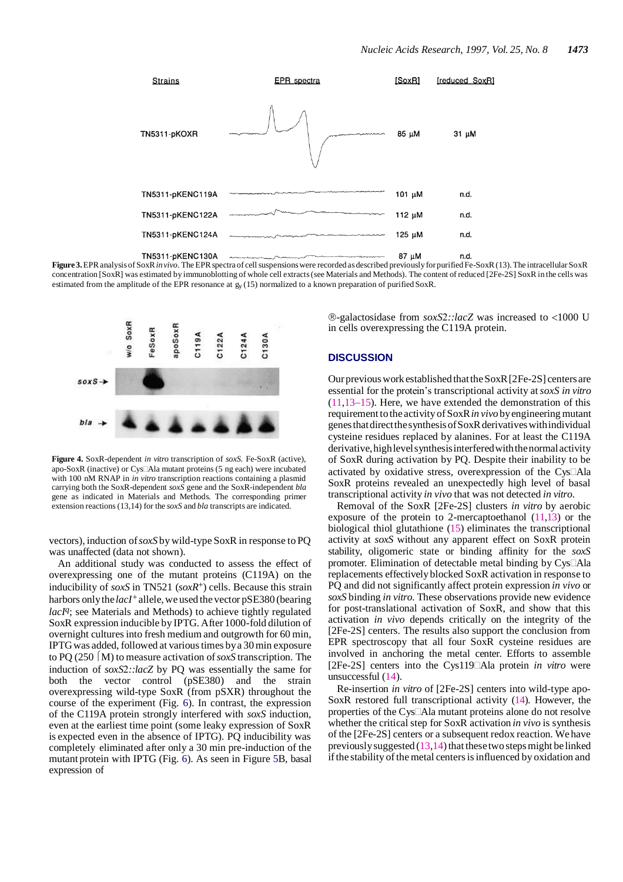

**Figure3.**EPRanalysisofSoxR*in vivo*. TheEPRspectraof cellsuspensionswere recorded asdescribed previously for purifiedFe-SoxR(13).The intracellular SoxR concentration [SoxR] was estimated by immunoblotting of whole cell extracts(see Materials and Methods). The content of reduced [2Fe-2S] SoxR in the cells was estimated from the amplitude of the EPR resonance at gy (15) normalized to a known preparation of purified SoxR.



**Figure 4.** SoxR-dependent *in vitro* transcription of *soxS.* Fe-SoxR (active), apo-SoxR (inactive) or Cys<sup>[[A]</sup>a mutant proteins (5 ng each) were incubated with 100 nM RNAP in *in vitro* transcription reactions containing a plasmid carrying both the SoxR-dependent *soxS* gene and the SoxR-independent *bla*  gene as indicated in Materials and Methods. The corresponding primer extension reactions(13,14) for the *soxS* and *bla* transcripts are indicated.

vectors), induction of *soxS* by wild-type SoxR in response to PQ was unaffected (data not shown).

An additional study was conducted to assess the effect of overexpressing one of the mutant proteins (C119A) on the inducibility of *soxS* in TN521 (*soxR*+) cells. Because this strain harbors only the *lacI*<sup>+</sup> allele, we used the vector pSE380 (bearing *lacIq* ; see Materials and Methods) to achieve tightly regulated SoxR expression inducible by IPTG. After 1000-fold dilution of overnight cultures into fresh medium and outgrowth for 60 min, IPTGwas added, followed at varioustimes bya 30min exposure to PQ (250 M) to measure activation of *soxS* transcription. The induction of *soxS::lacZ* by PQ was essentially the same for both the vector control (pSE380) and the strain overexpressing wild-type SoxR (from pSXR) throughout the course of the experiment (Fig. 6). In contrast, the expression of the C119A protein strongly interfered with *soxS* induction, even at the earliest time point (some leaky expression of SoxR is expected even in the absence of IPTG). PQ inducibility was completely eliminated after only a 30 min pre-induction of the mutant protein with IPTG (Fig. 6). As seen in Figure 5B, basal expression of

-galactosidase from *soxS::lacZ* was increased to 1000 U in cells overexpressing the C119A protein.

#### **DISCUSSION**

Our previous work established that the SoxR [2Fe-2S] centers are essential for the protein's transcriptional activity at*soxS in vitro*   $(11,13-15)$ . Here, we have extended the demonstration of this requirement to the activity of SoxR in vivo by engineering mutant genesthatdirectthesynthesisofSoxRderivativeswithindividual cysteine residues replaced by alanines. For at least the C119A derivative, high level synthesis interfered with the normal activity of SoxR during activation by PQ. Despite their inability to be activated by oxidative stress, overexpression of the  $C<sub>ys</sub>$   $\Box$ Ala SoxR proteins revealed an unexpectedly high level of basal transcriptional activity *in vivo* that was not detected *in vitro*.

Removal of the SoxR [2Fe-2S] clusters *in vitro* by aerobic exposure of the protein to 2-mercaptoethanol  $(11,13)$  or the biological thiol glutathione (15) eliminates the transcriptional activity at *soxS* without any apparent effect on SoxR protein stability, oligomeric state or binding affinity for the *soxS*  promoter. Elimination of detectable metal binding by  $Cys\Box Ala$ replacements effectively blocked SoxR activation in response to PQ and did not significantly affect protein expression *in vivo* or *soxS* binding *in vitro*. These observations provide new evidence for post-translational activation of SoxR, and show that this activation *in vivo* depends critically on the integrity of the [2Fe-2S] centers. The results also support the conclusion from EPR spectroscopy that all four SoxR cysteine residues are involved in anchoring the metal center. Efforts to assemble [2Fe-2S] centers into the Cys119Ala protein *in vitro* were unsuccessful (14).

Re-insertion *in vitro* of [2Fe-2S] centers into wild-type apo-SoxR restored full transcriptional activity (14). However, the properties of the Cys $\Box$ Ala mutant proteins alone do not resolve whether the critical step for SoxR activation *in vivo* is synthesis of the [2Fe-2S] centers or a subsequent redox reaction. We have previously suggested  $(13,14)$  that these two steps might be linked if the stability of the metal centers is influenced by oxidation and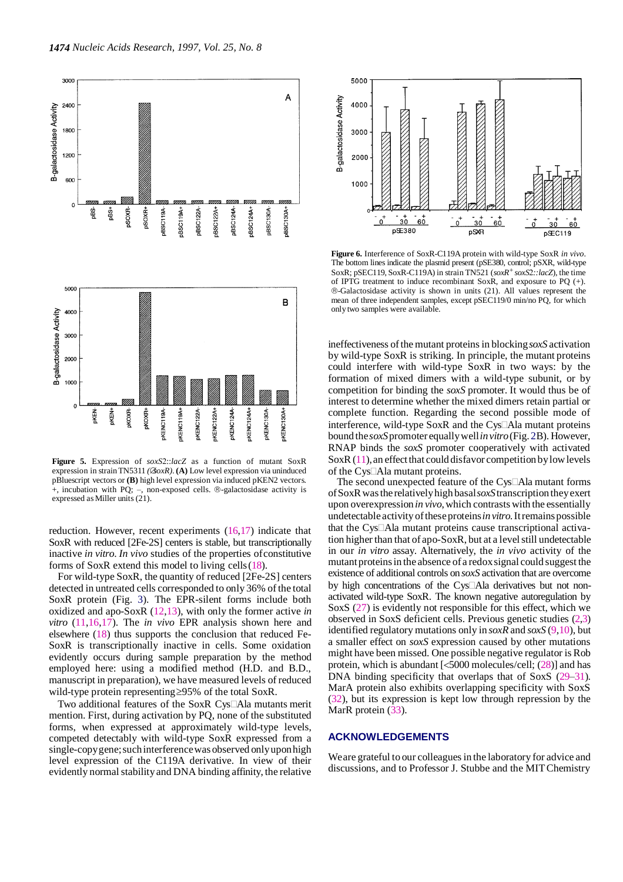

**Figure 5.** Expression of *soxS*::*lacZ* as a function of mutant SoxR expression in strain TN5311 *(* $\&$ *oxR*). (A) Low level expression via uninduced pBluescript vectors or **(B)** high level expression via induced pKEN2 vectors.  $+$ , incubation with PQ;  $-$ , non-exposed cells.  $\circledR$ -galactosidase activity is expressed asMiller units (21).

reduction. However, recent experiments  $(16,17)$  indicate that SoxR with reduced [2Fe-2S] centers is stable, but transcriptionally inactive *in vitro*. *In vivo* studies of the properties ofconstitutive forms of SoxR extend this model to living cells(18).

For wild-type SoxR, the quantity of reduced [2Fe-2S] centers detected in untreated cells corresponded to only 36% of the total SoxR protein (Fig. 3). The EPR-silent forms include both oxidized and apo-SoxR (12,13), with only the former active *in vitro* (11,16,17). The *in vivo* EPR analysis shown here and elsewhere (18) thus supports the conclusion that reduced Fe-SoxR is transcriptionally inactive in cells. Some oxidation evidently occurs during sample preparation by the method employed here: using a modified method (H.D. and B.D., manuscript in preparation), we have measured levels of reduced wild-type protein representing  $\geq$ 95% of the total SoxR.

Two additional features of the SoxR Cys<sup>[[A]</sup>Ala mutants merit mention. First, during activation by PQ, none of the substituted forms, when expressed at approximately wild-type levels, competed detectably with wild-type SoxR expressed from a single-copy gene; such interference was observed only upon high level expression of the C119A derivative. In view of their evidently normal stability and DNA binding affinity, the relative



**Figure 6.** Interference of SoxR-C119A protein with wild-type SoxR *in vivo*. The bottom lines indicate the plasmid present (pSE380, control; pSXR, wild-type SoxR; pSEC119, SoxR-C119A) in strain TN521 (*soxR+soxS::lacZ*), the time of IPTG treatment to induce recombinant SoxR, and exposure to PQ (+). -Galactosidase activity is shown in units (21). All values represent the mean of three independent samples, except pSEC119/0 min/no PQ, for which only two samples were available.

ineffectiveness of the mutant proteins in blocking *soxS* activation by wild-type SoxR is striking. In principle, the mutant proteins could interfere with wild-type SoxR in two ways: by the formation of mixed dimers with a wild-type subunit, or by competition for binding the *soxS* promoter. It would thus be of interest to determine whether the mixed dimers retain partial or complete function. Regarding the second possible mode of interference, wild-type SoxR and the Cys $\Box$ Ala mutant proteins bound the*soxS*promoter equallywell*invitro*(Fig.2B). However, RNAP binds the *soxS* promoter cooperatively with activated SoxR $(11)$ , an effect that could disfavor competition by low levels of the Cys□Ala mutant proteins.

The second unexpected feature of the Cys $\Box$ Ala mutant forms ofSoxRwastherelativelyhighbasal*soxS*transcription theyexert upon overexpression *in vivo*, which contrasts with the essentially undetectable activity oftheseproteins*invitro.*Itremainspossible that the Cys $\Box$ Ala mutant proteins cause transcriptional activation higher than that of apo-SoxR, but at a level still undetectable in our *in vitro* assay. Alternatively, the *in vivo* activity of the mutant proteins in the absence of a redox signal could suggest the existence of additional controls on *soxS* activation that are overcome by high concentrations of the Cys<sup>I</sup>Ala derivatives but not nonactivated wild-type SoxR. The known negative autoregulation by SoxS (27) is evidently not responsible for this effect, which we observed in SoxS deficient cells. Previous genetic studies (2,3) identified regulatory mutations only in *soxR* and *soxS* (9,10), but a smaller effect on *soxS* expression caused by other mutations might have been missed. One possible negative regulator is Rob protein, which is abundant  $\left[ < 5000 \text{ molecules/cell}$ ; (28)] and has DNA binding specificity that overlaps that of SoxS (29–31). MarA protein also exhibits overlapping specificity with SoxS (32), but its expression is kept low through repression by the MarR protein  $(33)$ .

#### **ACKNOWLEDGEMENTS**

We are grateful to our colleagues in the laboratory for advice and discussions, and to Professor J. Stubbe and the MITChemistry